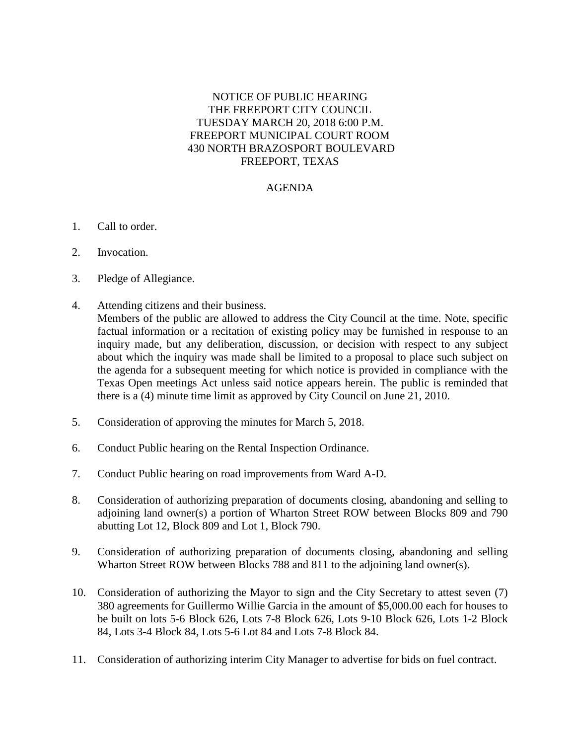## NOTICE OF PUBLIC HEARING THE FREEPORT CITY COUNCIL TUESDAY MARCH 20, 2018 6:00 P.M. FREEPORT MUNICIPAL COURT ROOM 430 NORTH BRAZOSPORT BOULEVARD FREEPORT, TEXAS

## AGENDA

- 1. Call to order.
- 2. Invocation.
- 3. Pledge of Allegiance.
- 4. Attending citizens and their business. Members of the public are allowed to address the City Council at the time. Note, specific factual information or a recitation of existing policy may be furnished in response to an inquiry made, but any deliberation, discussion, or decision with respect to any subject about which the inquiry was made shall be limited to a proposal to place such subject on the agenda for a subsequent meeting for which notice is provided in compliance with the Texas Open meetings Act unless said notice appears herein. The public is reminded that there is a (4) minute time limit as approved by City Council on June 21, 2010.
- 5. Consideration of approving the minutes for March 5, 2018.
- 6. Conduct Public hearing on the Rental Inspection Ordinance.
- 7. Conduct Public hearing on road improvements from Ward A-D.
- 8. Consideration of authorizing preparation of documents closing, abandoning and selling to adjoining land owner(s) a portion of Wharton Street ROW between Blocks 809 and 790 abutting Lot 12, Block 809 and Lot 1, Block 790.
- 9. Consideration of authorizing preparation of documents closing, abandoning and selling Wharton Street ROW between Blocks 788 and 811 to the adjoining land owner(s).
- 10. Consideration of authorizing the Mayor to sign and the City Secretary to attest seven (7) 380 agreements for Guillermo Willie Garcia in the amount of \$5,000.00 each for houses to be built on lots 5-6 Block 626, Lots 7-8 Block 626, Lots 9-10 Block 626, Lots 1-2 Block 84, Lots 3-4 Block 84, Lots 5-6 Lot 84 and Lots 7-8 Block 84.
- 11. Consideration of authorizing interim City Manager to advertise for bids on fuel contract.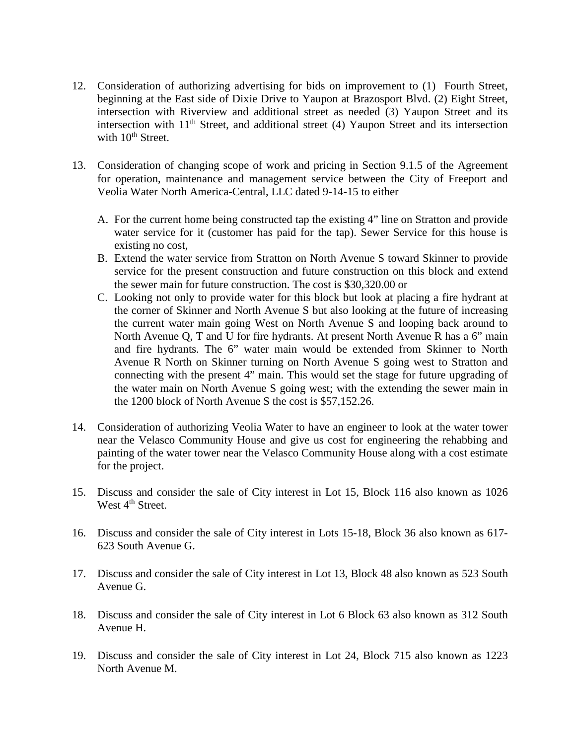- 12. Consideration of authorizing advertising for bids on improvement to (1) Fourth Street, beginning at the East side of Dixie Drive to Yaupon at Brazosport Blvd. (2) Eight Street, intersection with Riverview and additional street as needed (3) Yaupon Street and its intersection with 11th Street, and additional street (4) Yaupon Street and its intersection with  $10^{th}$  Street.
- 13. Consideration of changing scope of work and pricing in Section 9.1.5 of the Agreement for operation, maintenance and management service between the City of Freeport and Veolia Water North America-Central, LLC dated 9-14-15 to either
	- A. For the current home being constructed tap the existing 4" line on Stratton and provide water service for it (customer has paid for the tap). Sewer Service for this house is existing no cost,
	- B. Extend the water service from Stratton on North Avenue S toward Skinner to provide service for the present construction and future construction on this block and extend the sewer main for future construction. The cost is \$30,320.00 or
	- C. Looking not only to provide water for this block but look at placing a fire hydrant at the corner of Skinner and North Avenue S but also looking at the future of increasing the current water main going West on North Avenue S and looping back around to North Avenue Q, T and U for fire hydrants. At present North Avenue R has a 6" main and fire hydrants. The 6" water main would be extended from Skinner to North Avenue R North on Skinner turning on North Avenue S going west to Stratton and connecting with the present 4" main. This would set the stage for future upgrading of the water main on North Avenue S going west; with the extending the sewer main in the 1200 block of North Avenue S the cost is \$57,152.26.
- 14. Consideration of authorizing Veolia Water to have an engineer to look at the water tower near the Velasco Community House and give us cost for engineering the rehabbing and painting of the water tower near the Velasco Community House along with a cost estimate for the project.
- 15. Discuss and consider the sale of City interest in Lot 15, Block 116 also known as 1026 West  $4<sup>th</sup>$  Street.
- 16. Discuss and consider the sale of City interest in Lots 15-18, Block 36 also known as 617- 623 South Avenue G.
- 17. Discuss and consider the sale of City interest in Lot 13, Block 48 also known as 523 South Avenue G.
- 18. Discuss and consider the sale of City interest in Lot 6 Block 63 also known as 312 South Avenue H.
- 19. Discuss and consider the sale of City interest in Lot 24, Block 715 also known as 1223 North Avenue M.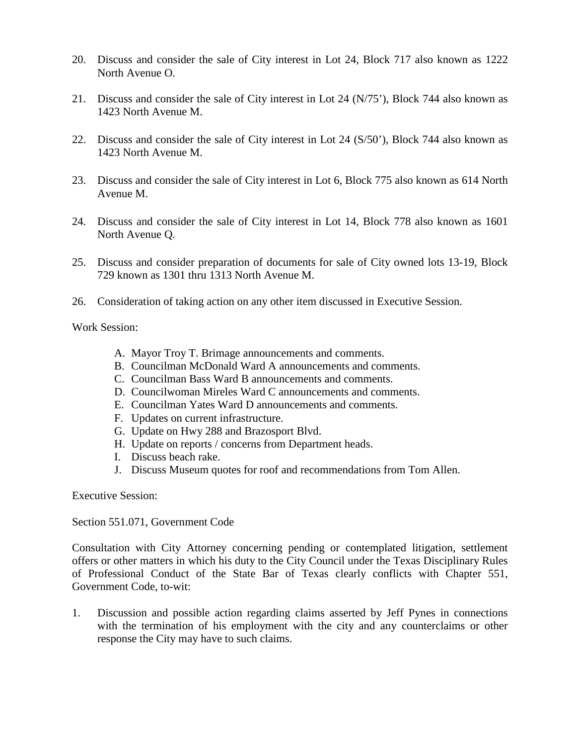- 20. Discuss and consider the sale of City interest in Lot 24, Block 717 also known as 1222 North Avenue O.
- 21. Discuss and consider the sale of City interest in Lot 24 (N/75'), Block 744 also known as 1423 North Avenue M.
- 22. Discuss and consider the sale of City interest in Lot 24 (S/50'), Block 744 also known as 1423 North Avenue M.
- 23. Discuss and consider the sale of City interest in Lot 6, Block 775 also known as 614 North Avenue M.
- 24. Discuss and consider the sale of City interest in Lot 14, Block 778 also known as 1601 North Avenue Q.
- 25. Discuss and consider preparation of documents for sale of City owned lots 13-19, Block 729 known as 1301 thru 1313 North Avenue M.
- 26. Consideration of taking action on any other item discussed in Executive Session.

Work Session:

- A. Mayor Troy T. Brimage announcements and comments.
- B. Councilman McDonald Ward A announcements and comments.
- C. Councilman Bass Ward B announcements and comments.
- D. Councilwoman Mireles Ward C announcements and comments.
- E. Councilman Yates Ward D announcements and comments.
- F. Updates on current infrastructure.
- G. Update on Hwy 288 and Brazosport Blvd.
- H. Update on reports / concerns from Department heads.
- I. Discuss beach rake.
- J. Discuss Museum quotes for roof and recommendations from Tom Allen.

Executive Session:

Section 551.071, Government Code

Consultation with City Attorney concerning pending or contemplated litigation, settlement offers or other matters in which his duty to the City Council under the Texas Disciplinary Rules of Professional Conduct of the State Bar of Texas clearly conflicts with Chapter 551, Government Code, to-wit:

1. Discussion and possible action regarding claims asserted by Jeff Pynes in connections with the termination of his employment with the city and any counterclaims or other response the City may have to such claims.